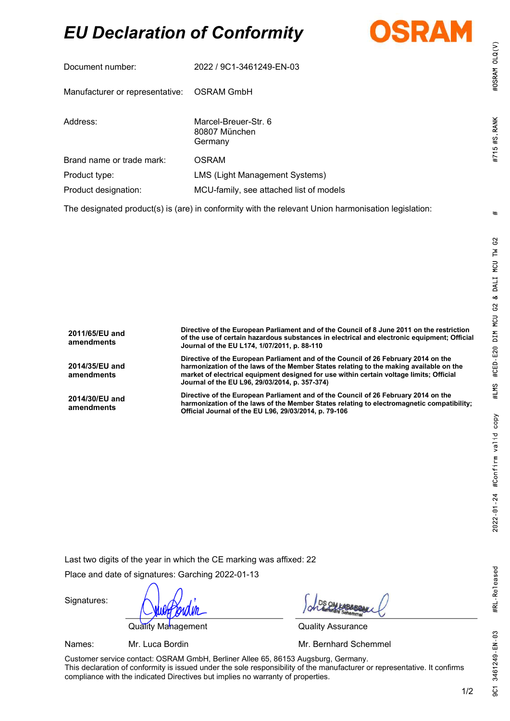# EU Declaration of Conformity



| Document number:                                                                                                | 2022 / 9C1-3461249-EN-03                         |  |
|-----------------------------------------------------------------------------------------------------------------|--------------------------------------------------|--|
| Manufacturer or representative: OSRAM GmbH                                                                      |                                                  |  |
| Address:                                                                                                        | Marcel-Breuer-Str. 6<br>80807 München<br>Germany |  |
| Brand name or trade mark:                                                                                       | <b>OSRAM</b>                                     |  |
| Product type:                                                                                                   | <b>LMS (Light Management Systems)</b>            |  |
| Product designation:                                                                                            | MCU-family, see attached list of models          |  |
| The coloration of any decided in (and in conformity) with the network that an home categories to attack the set |                                                  |  |

The designated product(s) is (are) in conformity with the relevant Union harmonisation legislation:

| 2011/65/EU and<br>amendments | Directive of the European Parliament and of the Council of 8 June 2011 on the restriction<br>of the use of certain hazardous substances in electrical and electronic equipment; Official<br>Journal of the EU L174, 1/07/2011, p. 88-110                                                                                  |
|------------------------------|---------------------------------------------------------------------------------------------------------------------------------------------------------------------------------------------------------------------------------------------------------------------------------------------------------------------------|
| 2014/35/EU and<br>amendments | Directive of the European Parliament and of the Council of 26 February 2014 on the<br>harmonization of the laws of the Member States relating to the making available on the<br>market of electrical equipment designed for use within certain voltage limits; Official<br>Journal of the EU L96, 29/03/2014, p. 357-374) |
| 2014/30/EU and<br>amendments | Directive of the European Parliament and of the Council of 26 February 2014 on the<br>harmonization of the laws of the Member States relating to electromagnetic compatibility;<br>Official Journal of the EU L96, 29/03/2014, p. 79-106                                                                                  |

Last two digits of the year in which the CE marking was affixed: 22

Place and date of signatures: Garching 2022-01-13

Quality Management **Quality Assurance** 

Signatures:

Names: Mr. Luca Bordin Mr. **Mr. Bernhard Schemmel** 

Customer service contact: OSRAM GmbH, Berliner Allee 65, 86153 Augsburg, Germany. This declaration of conformity is issued under the sole responsibility of the manufacturer or representative. It confirms compliance with the indicated Directives but implies no warranty of properties.

#OSRAM OLQ(V)

#715 #S RANK